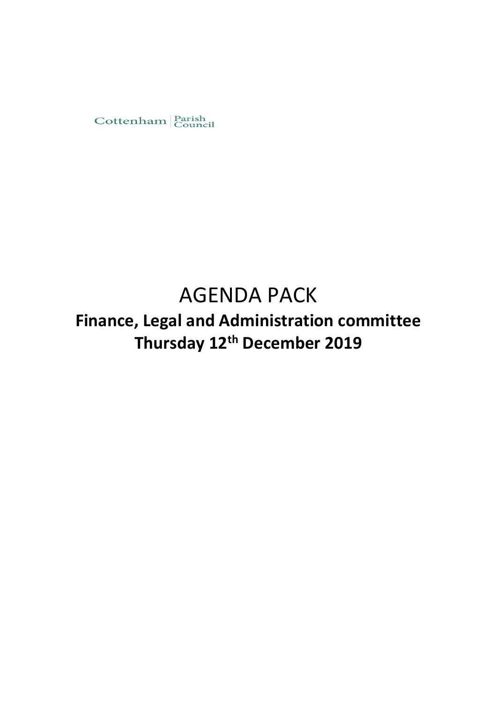

# AGENDA PACK

## **Finance, Legal and Administration committee Thursday 12th December 2019**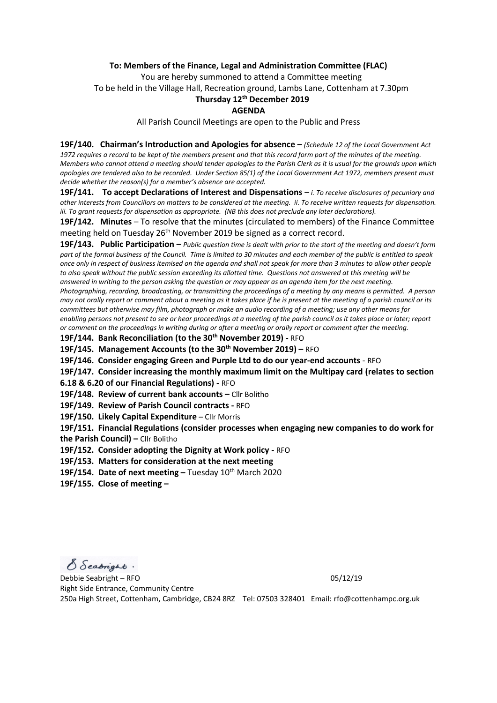#### **To: Members of the Finance, Legal and Administration Committee (FLAC)**

You are hereby summoned to attend a Committee meeting

To be held in the Village Hall, Recreation ground, Lambs Lane, Cottenham at 7.30pm

## **Thursday 12th December 2019**

#### **AGENDA**

All Parish Council Meetings are open to the Public and Press

**19F/140. Chairman's Introduction and Apologies for absence –** *(Schedule 12 of the Local Government Act 1972 requires a record to be kept of the members present and that this record form part of the minutes of the meeting. Members who cannot attend a meeting should tender apologies to the Parish Clerk as it is usual for the grounds upon which apologies are tendered also to be recorded. Under Section 85(1) of the Local Government Act 1972, members present must decide whether the reason(s) for a member's absence are accepted.*

**19F/141. To accept Declarations of Interest and Dispensations** – *i. To receive disclosures of pecuniary and other interests from Councillors on matters to be considered at the meeting. ii. To receive written requests for dispensation. iii. To grant requests for dispensation as appropriate. (NB this does not preclude any later declarations).*

**19F/142. Minutes** – To resolve that the minutes (circulated to members) of the Finance Committee meeting held on Tuesday 26<sup>th</sup> November 2019 be signed as a correct record.

**19F/143. Public Participation –** *Public question time is dealt with prior to the start of the meeting and doesn't form part of the formal business of the Council. Time is limited to 30 minutes and each member of the public is entitled to speak once only in respect of business itemised on the agenda and shall not speak for more than 3 minutes to allow other people to also speak without the public session exceeding its allotted time. Questions not answered at this meeting will be answered in writing to the person asking the question or may appear as an agenda item for the next meeting.* 

*Photographing, recording, broadcasting, or transmitting the proceedings of a meeting by any means is permitted. A person may not orally report or comment about a meeting as it takes place if he is present at the meeting of a parish council or its committees but otherwise may film, photograph or make an audio recording of a meeting; use any other means for enabling persons not present to see or hear proceedings at a meeting of the parish council as it takes place or later; report or comment on the proceedings in writing during or after a meeting or orally report or comment after the meeting.* 

**19F/144. Bank Reconciliation (to the 30th November 2019) -** RFO

**19F/145. Management Accounts (to the 30th November 2019) –** RFO

**19F/146. Consider engaging Green and Purple Ltd to do our year-end accounts** - RFO

**19F/147. Consider increasing the monthly maximum limit on the Multipay card (relates to section 6.18 & 6.20 of our Financial Regulations) -** RFO

**19F/148. Review of current bank accounts –** Cllr Bolitho

**19F/149. Review of Parish Council contracts -** RFO

**19F/150. Likely Capital Expenditure** – Cllr Morris

**19F/151. Financial Regulations (consider processes when engaging new companies to do work for the Parish Council) –** Cllr Bolitho

**19F/152. Consider adopting the Dignity at Work policy -** RFO

**19F/153. Matters for consideration at the next meeting**

**19F/154. Date of next meeting –** Tuesday 10 th March 2020

**19F/155. Close of meeting –**

S Seabright.

Debbie Seabright – RFO 05/12/19 Right Side Entrance, Community Centre 250a High Street, Cottenham, Cambridge, CB24 8RZ Tel: 07503 328401 Email: rfo@cottenhampc.org.uk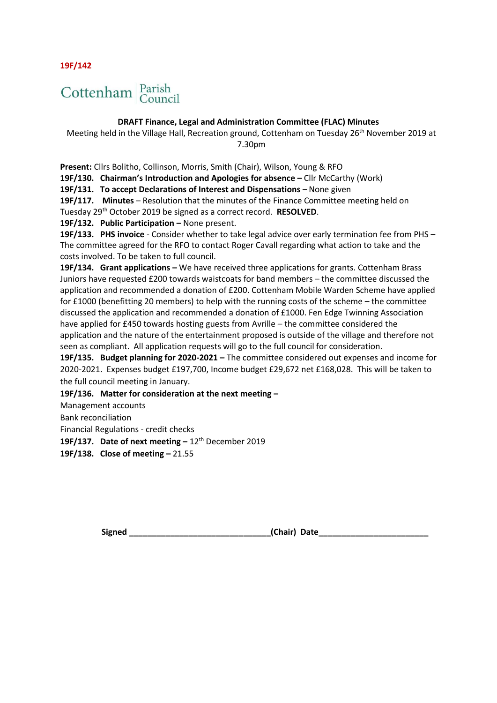**19F/142**

# Cottenham Parish

## **DRAFT Finance, Legal and Administration Committee (FLAC) Minutes**

Meeting held in the Village Hall, Recreation ground, Cottenham on Tuesday 26<sup>th</sup> November 2019 at 7.30pm

**Present:** Cllrs Bolitho, Collinson, Morris, Smith (Chair), Wilson, Young & RFO

**19F/130. Chairman's Introduction and Apologies for absence –** Cllr McCarthy (Work)

**19F/131. To accept Declarations of Interest and Dispensations** – None given

19F/117. Minutes - Resolution that the minutes of the Finance Committee meeting held on Tuesday 29th October 2019 be signed as a correct record. **RESOLVED**.

19F/132. Public Participation - None present.

**19F/133. PHS invoice** - Consider whether to take legal advice over early termination fee from PHS – The committee agreed for the RFO to contact Roger Cavall regarding what action to take and the costs involved. To be taken to full council.

**19F/134.** Grant applications – We have received three applications for grants. Cottenham Brass Juniors have requested £200 towards waistcoats for band members – the committee discussed the application and recommended a donation of £200. Cottenham Mobile Warden Scheme have applied for £1000 (benefitting 20 members) to help with the running costs of the scheme – the committee discussed the application and recommended a donation of £1000. Fen Edge Twinning Association have applied for £450 towards hosting guests from Avrille – the committee considered the application and the nature of the entertainment proposed is outside of the village and therefore not seen as compliant. All application requests will go to the full council for consideration.

**19F/135. Budget planning for 2020-2021 –** The committee considered out expenses and income for 2020-2021. Expenses budget £197,700, Income budget £29,672 net £168,028. This will be taken to the full council meeting in January.

**19F/136. Matter for consideration at the next meeting –**

Management accounts

Bank reconciliation

Financial Regulations - credit checks

**19F/137.** Date of next meeting – 12<sup>th</sup> December 2019

**19F/138. Close of meeting –** 21.55

**Signed \_\_\_\_\_\_\_\_\_\_\_\_\_\_\_\_\_\_\_\_\_\_\_\_\_\_\_\_\_\_\_(Chair) Date\_\_\_\_\_\_\_\_\_\_\_\_\_\_\_\_\_\_\_\_\_\_\_\_**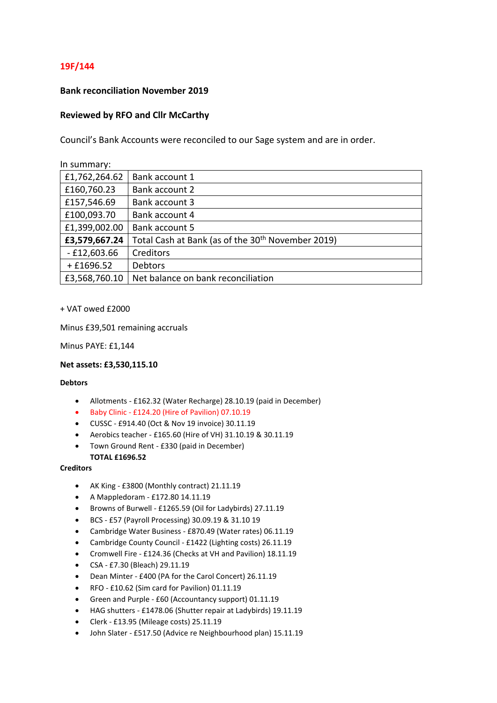## **19F/144**

### **Bank reconciliation November 2019**

### **Reviewed by RFO and Cllr McCarthy**

Council's Bank Accounts were reconciled to our Sage system and are in order.

| In summary:   |                                                               |
|---------------|---------------------------------------------------------------|
| £1,762,264.62 | Bank account 1                                                |
| £160,760.23   | Bank account 2                                                |
| £157,546.69   | Bank account 3                                                |
| £100,093.70   | Bank account 4                                                |
| £1,399,002.00 | Bank account 5                                                |
| £3,579,667.24 | Total Cash at Bank (as of the 30 <sup>th</sup> November 2019) |
| $-£12,603.66$ | Creditors                                                     |
| $+£1696.52$   | Debtors                                                       |
| £3,568,760.10 | Net balance on bank reconciliation                            |

#### + VAT owed £2000

Minus £39,501 remaining accruals

Minus PAYE: £1,144

#### **Net assets: £3,530,115.10**

#### **Debtors**

- Allotments £162.32 (Water Recharge) 28.10.19 (paid in December)
- Baby Clinic £124.20 (Hire of Pavilion) 07.10.19
- CUSSC £914.40 (Oct & Nov 19 invoice) 30.11.19
- Aerobics teacher £165.60 (Hire of VH) 31.10.19 & 30.11.19
- Town Ground Rent £330 (paid in December)

## **TOTAL £1696.52**

#### **Creditors**

- AK King £3800 (Monthly contract) 21.11.19
- A Mappledoram £172.80 14.11.19
- Browns of Burwell £1265.59 (Oil for Ladybirds) 27.11.19
- BCS £57 (Payroll Processing) 30.09.19 & 31.10 19
- Cambridge Water Business £870.49 (Water rates) 06.11.19
- Cambridge County Council £1422 (Lighting costs) 26.11.19
- Cromwell Fire £124.36 (Checks at VH and Pavilion) 18.11.19
- CSA £7.30 (Bleach) 29.11.19
- Dean Minter £400 (PA for the Carol Concert) 26.11.19
- RFO £10.62 (Sim card for Pavilion) 01.11.19
- Green and Purple £60 (Accountancy support) 01.11.19
- HAG shutters £1478.06 (Shutter repair at Ladybirds) 19.11.19
- Clerk £13.95 (Mileage costs) 25.11.19
- John Slater £517.50 (Advice re Neighbourhood plan) 15.11.19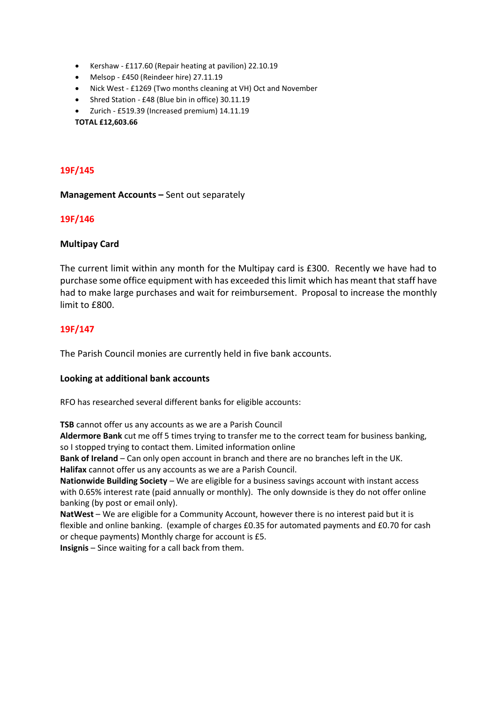- Kershaw £117.60 (Repair heating at pavilion) 22.10.19
- Melsop £450 (Reindeer hire) 27.11.19
- Nick West £1269 (Two months cleaning at VH) Oct and November
- Shred Station £48 (Blue bin in office) 30.11.19
- Zurich £519.39 (Increased premium) 14.11.19

**TOTAL £12,603.66** 

## **19F/145**

**Management Accounts - Sent out separately** 

## **19F/146**

## **Multipay Card**

The current limit within any month for the Multipay card is £300. Recently we have had to purchase some office equipment with has exceeded this limit which has meant that staff have had to make large purchases and wait for reimbursement. Proposal to increase the monthly limit to  $f800$ .

## **19F/147**

The Parish Council monies are currently held in five bank accounts.

## **Looking at additional bank accounts**

RFO has researched several different banks for eligible accounts:

**TSB** cannot offer us any accounts as we are a Parish Council

**Aldermore Bank** cut me off 5 times trying to transfer me to the correct team for business banking, so I stopped trying to contact them. Limited information online

**Bank of Ireland** – Can only open account in branch and there are no branches left in the UK. **Halifax** cannot offer us any accounts as we are a Parish Council.

**Nationwide Building Society** – We are eligible for a business savings account with instant access with 0.65% interest rate (paid annually or monthly). The only downside is they do not offer online banking (by post or email only).

**NatWest** – We are eligible for a Community Account, however there is no interest paid but it is flexible and online banking. (example of charges £0.35 for automated payments and £0.70 for cash or cheque payments) Monthly charge for account is £5.

**Insignis** – Since waiting for a call back from them.